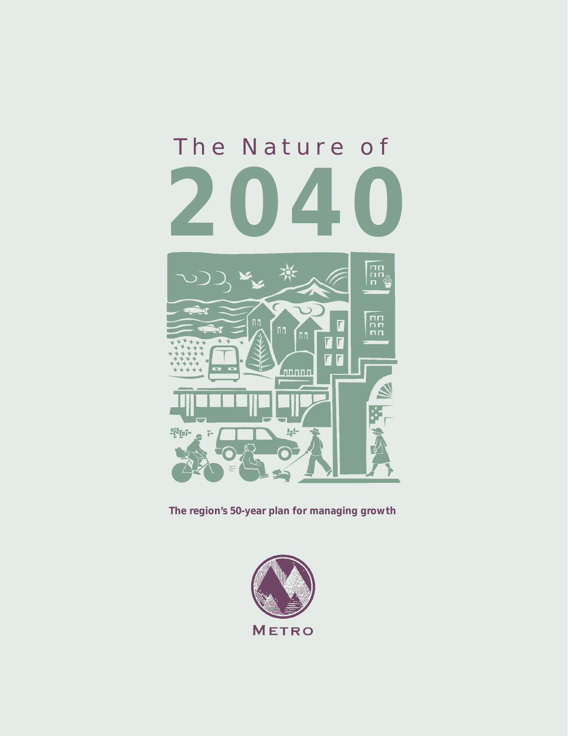# The Nature of **2040** חח<br>חח<br>≀ ח C nn<br>Pri  $\overline{\mathbf{L}}$ [חח  $\blacksquare$ d.  $\overline{L}$ *L*unnn

**Figur**  $\tilde{\Gamma}^{\ast}$ 

**The region's 50-year plan for managing growth**

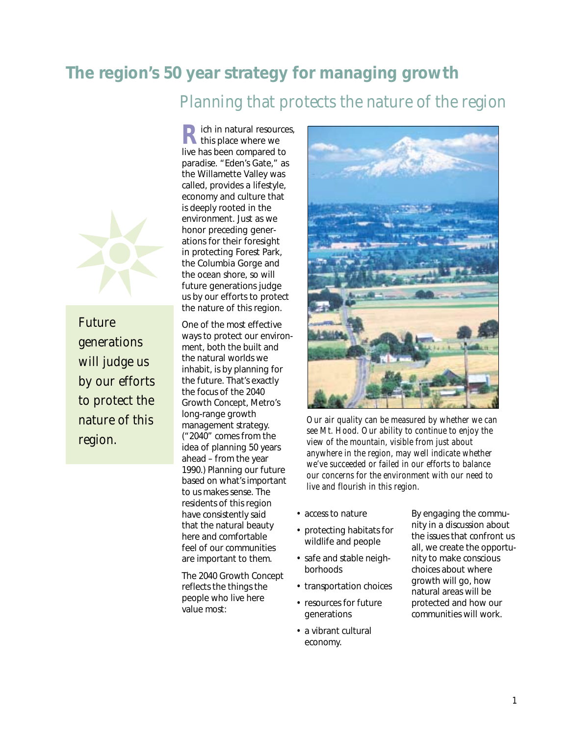## **The region's 50 year strategy for managing growth**

*Planning that protects the nature of the region*



*Future generations will judge us by our efforts to protect the nature of this region.*

**R** ich in natural resources, live has been compared to paradise. "Eden's Gate," as the Willamette Valley was called, provides a lifestyle, economy and culture that is deeply rooted in the environment. Just as we honor preceding generations for their foresight in protecting Forest Park, the Columbia Gorge and the ocean shore, so will future generations judge us by our efforts to protect the nature of this region.

One of the most effective ways to protect our environment, both the built and the natural worlds we inhabit, is by planning for the future. That's exactly the focus of the 2040 Growth Concept, Metro's long-range growth management strategy. ("2040" comes from the idea of planning 50 years ahead – from the year 1990.) Planning our future based on what's important to us makes sense. The residents of this region have consistently said that the natural beauty here and comfortable feel of our communities are important to them.

The 2040 Growth Concept reflects the things the people who live here value most:



*Our air quality can be measured by whether we can see Mt. Hood. Our ability to continue to enjoy the view of the mountain, visible from just about anywhere in the region, may well indicate whether we've succeeded or failed in our efforts to balance our concerns for the environment with our need to live and flourish in this region.*

- access to nature
- protecting habitats for wildlife and people
- safe and stable neighborhoods
- transportation choices
- resources for future generations
- a vibrant cultural economy.

By engaging the community in a discussion about the issues that confront us all, we create the opportunity to make conscious choices about where growth will go, how natural areas will be protected and how our communities will work.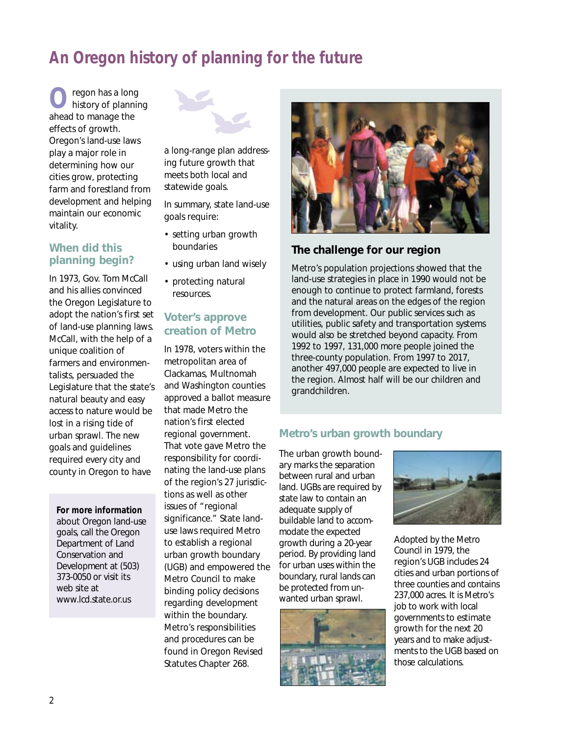# **An Oregon history of planning for the future**

**O**regon has a long history of planning ahead to manage the effects of growth. Oregon's land-use laws play a major role in determining how our cities grow, protecting farm and forestland from development and helping maintain our economic vitality.

## **When did this planning begin?**

In 1973, Gov. Tom McCall and his allies convinced the Oregon Legislature to adopt the nation's first set of land-use planning laws. McCall, with the help of a unique coalition of farmers and environmentalists, persuaded the Legislature that the state's natural beauty and easy access to nature would be lost in a rising tide of urban sprawl. The new goals and guidelines required every city and county in Oregon to have

#### **For more information**

about Oregon land-use goals, call the Oregon Department of Land Conservation and Development at (503) 373-0050 or visit its web site at www.lcd.state.or.us



a long-range plan addressing future growth that meets both local and statewide goals.

In summary, state land-use goals require:

- setting urban growth boundaries
- using urban land wisely
- protecting natural resources.

#### **Voter's approve creation of Metro**

In 1978, voters within the metropolitan area of Clackamas, Multnomah and Washington counties approved a ballot measure that made Metro the nation's first elected regional government. That vote gave Metro the responsibility for coordinating the land-use plans of the region's 27 jurisdictions as well as other issues of "regional significance." State landuse laws required Metro to establish a regional urban growth boundary (UGB) and empowered the Metro Council to make binding policy decisions regarding development within the boundary. Metro's responsibilities and procedures can be found in Oregon Revised Statutes Chapter 268.



## **The challenge for our region**

Metro's population projections showed that the land-use strategies in place in 1990 would not be enough to continue to protect farmland, forests and the natural areas on the edges of the region from development. Our public services such as utilities, public safety and transportation systems would also be stretched beyond capacity. From 1992 to 1997, 131,000 more people joined the three-county population. From 1997 to 2017, another 497,000 people are expected to live in the region. Almost half will be our children and grandchildren.

#### **Metro's urban growth boundary**

The urban growth boundary marks the separation between rural and urban land. UGBs are required by state law to contain an adequate supply of buildable land to accommodate the expected growth during a 20-year period. By providing land for urban uses within the boundary, rural lands can be protected from unwanted urban sprawl.





Adopted by the Metro Council in 1979, the region's UGB includes 24 cities and urban portions of three counties and contains 237,000 acres. It is Metro's job to work with local governments to estimate growth for the next 20 years and to make adjustments to the UGB based on those calculations.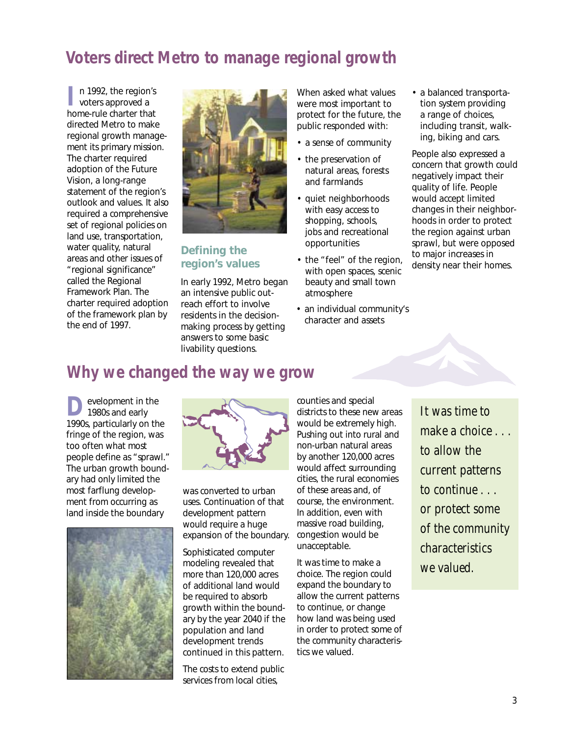## **Voters direct Metro to manage regional growth**

n 1992, the region's<br>voters approved a home-rule charter that directed Metro to make regional growth management its primary mission. The charter required adoption of the Future Vision, a long-range statement of the region's outlook and values. It also required a comprehensive set of regional policies on land use, transportation, water quality, natural areas and other issues of "regional significance" called the Regional Framework Plan. The charter required adoption of the framework plan by the end of 1997.



#### **Defining the region's values**

In early 1992, Metro began an intensive public outreach effort to involve residents in the decisionmaking process by getting answers to some basic livability questions.

When asked what values were most important to protect for the future, the public responded with:

- a sense of community
- the preservation of natural areas, forests and farmlands
- quiet neighborhoods with easy access to shopping, schools, jobs and recreational opportunities
- the "feel" of the region, with open spaces, scenic beauty and small town atmosphere
- an individual community's character and assets

• a balanced transportation system providing a range of choices, including transit, walking, biking and cars.

People also expressed a concern that growth could negatively impact their quality of life. People would accept limited changes in their neighborhoods in order to protect the region against urban sprawl, but were opposed to major increases in density near their homes.

## **Why we changed the way we grow**

evelopment in the 1980s and early 1990s, particularly on the fringe of the region, was too often what most people define as "sprawl." The urban growth boundary had only limited the most farflung development from occurring as land inside the boundary





was converted to urban uses. Continuation of that development pattern would require a huge expansion of the boundary.

Sophisticated computer modeling revealed that more than 120,000 acres of additional land would be required to absorb growth within the boundary by the year 2040 if the population and land development trends continued in this pattern.

The costs to extend public services from local cities,

counties and special districts to these new areas would be extremely high. Pushing out into rural and non-urban natural areas by another 120,000 acres would affect surrounding cities, the rural economies of these areas and, of course, the environment. In addition, even with massive road building, congestion would be unacceptable.

It was time to make a choice. The region could expand the boundary to allow the current patterns to continue, or change how land was being used in order to protect some of the community characteristics we valued.

*It was time to make a choice . . . to allow the current patterns to continue . . . or protect some of the community characteristics we valued.*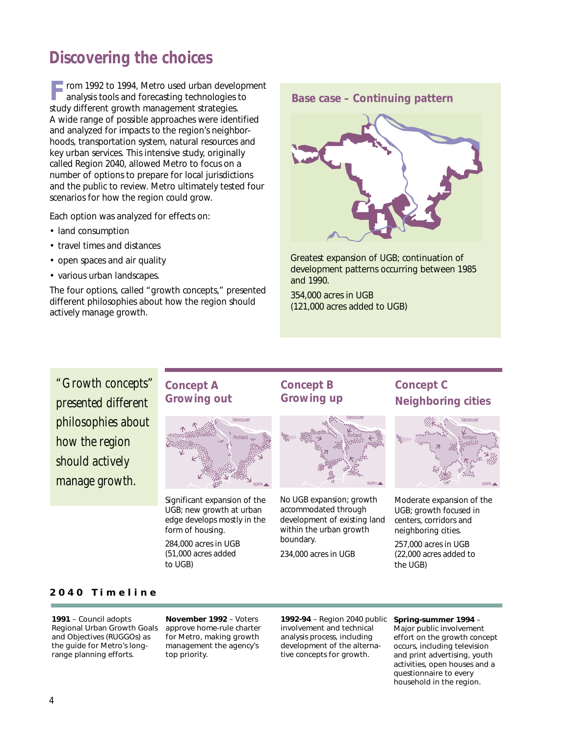## **Discovering the choices**

rom 1992 to 1994, Metro used urban development analysis tools and forecasting technologies to study different growth management strategies. A wide range of possible approaches were identified and analyzed for impacts to the region's neighborhoods, transportation system, natural resources and key urban services. This intensive study, originally called Region 2040, allowed Metro to focus on a number of options to prepare for local jurisdictions and the public to review. Metro ultimately tested four scenarios for how the region could grow.

Each option was analyzed for effects on:

- land consumption
- travel times and distances
- open spaces and air quality
- various urban landscapes.

The four options, called "growth concepts," presented different philosophies about how the region should actively manage growth.



Greatest expansion of UGB; continuation of development patterns occurring between 1985 and 1990.

354,000 acres in UGB (121,000 acres added to UGB)

*"Growth concepts" presented different philosophies about how the region should actively manage growth.*

#### **Concept A Growing out**



Significant expansion of the UGB; new growth at urban edge develops mostly in the form of housing.

284,000 acres in UGB (51,000 acres added to UGB)

## **Concept B Growing up**



No UGB expansion; growth accommodated through development of existing land within the urban growth boundary.

234,000 acres in UGB

## **Concept C Neighboring cities**



Moderate expansion of the UGB; growth focused in centers, corridors and neighboring cities.

257,000 acres in UGB (22,000 acres added to the UGB)

#### **2040 Timeline**

**1991** – Council adopts Regional Urban Growth Goals and Objectives (RUGGOs) as the guide for Metro's longrange planning efforts.

**November 1992** – Voters approve home-rule charter for Metro, making growth management the agency's top priority.

**1992-94** – Region 2040 public involvement and technical analysis process, including development of the alternative concepts for growth.

#### **Spring-summer 1994** – Major public involvement

effort on the growth concept occurs, including television and print advertising, youth activities, open houses and a questionnaire to every household in the region.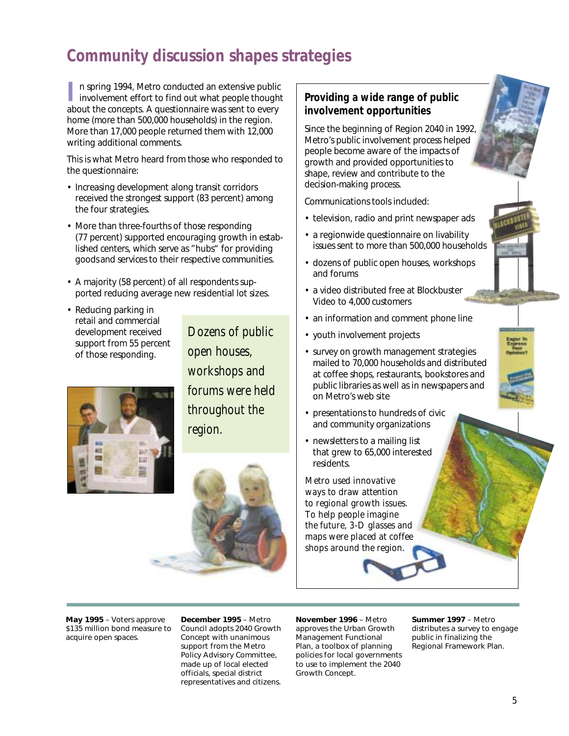# **Community discussion shapes strategies**

I**I** n spring 1994, Metro conducted an extensive public<br>involvement effort to find out what people thought about the concepts. A questionnaire was sent to every home (more than 500,000 households) in the region. More than 17,000 people returned them with 12,000 writing additional comments.

This is what Metro heard from those who responded to the questionnaire:

- Increasing development along transit corridors received the strongest support (83 percent) among the four strategies.
- More than three-fourths of those responding (77 percent) supported encouraging growth in established centers, which serve as "hubs" for providing goods and services to their respective communities.
- A majority (58 percent) of all respondents supported reducing average new residential lot sizes.
- Reducing parking in retail and commercial development received support from 55 percent of those responding.

*Dozens of public open houses, workshops and forums were held throughout the region.*





## **Providing a wide range of public involvement opportunities**

Since the beginning of Region 2040 in 1992, Metro's public involvement process helped people become aware of the impacts of growth and provided opportunities to shape, review and contribute to the decision-making process.

Communications tools included:

- television, radio and print newspaper ads
- a regionwide questionnaire on livability issues sent to more than 500,000 households
- dozens of public open houses, workshops and forums
- a video distributed free at Blockbuster Video to 4,000 customers
- an information and comment phone line
- youth involvement projects
- survey on growth management strategies mailed to 70,000 households and distributed at coffee shops, restaurants, bookstores and public libraries as well as in newspapers and on Metro's web site
- presentations to hundreds of civic and community organizations
- newsletters to a mailing list that grew to 65,000 interested residents.

*Metro used innovative ways to draw attention to regional growth issues. To help people imagine the future, 3-D glasses and maps were placed at coffee shops around the region.*

**May 1995** – Voters approve \$135 million bond measure to acquire open spaces.

**December 1995** – Metro Council adopts 2040 Growth Concept with unanimous support from the Metro Policy Advisory Committee, made up of local elected officials, special district representatives and citizens.

**November 1996** – Metro approves the Urban Growth Management Functional Plan, a toolbox of planning policies for local governments to use to implement the 2040 Growth Concept.

**Summer 1997** – Metro distributes a survey to engage public in finalizing the Regional Framework Plan.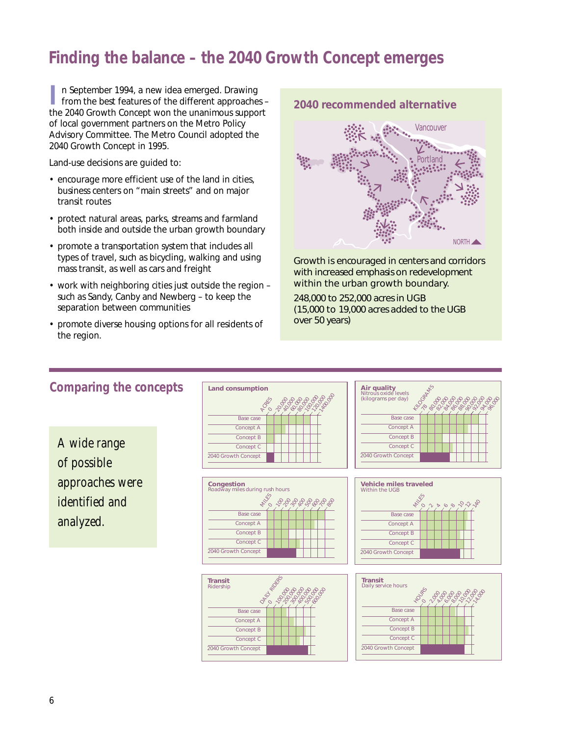## **Finding the balance – the 2040 Growth Concept emerges**

II n September 1994, a new idea emerged. Drawing<br>from the best features of the different approaches – the 2040 Growth Concept won the unanimous support of local government partners on the Metro Policy Advisory Committee. The Metro Council adopted the 2040 Growth Concept in 1995.

Land-use decisions are guided to:

- encourage more efficient use of the land in cities, business centers on "main streets" and on major transit routes
- protect natural areas, parks, streams and farmland both inside and outside the urban growth boundary
- promote a transportation system that includes all types of travel, such as bicycling, walking and using mass transit, as well as cars and freight
- work with neighboring cities just outside the region such as Sandy, Canby and Newberg – to keep the separation between communities
- promote diverse housing options for all residents of the region.



Growth is encouraged in centers and corridors with increased emphasis on redevelopment within the urban growth boundary.

248,000 to 252,000 acres in UGB (15,000 to 19,000 acres added to the UGB over 50 years)

## **Comparing the concepts**

*A wide range of possible approaches were identified and analyzed.*











|  |  |  |  | <b><i>Proposophie</i></b> |
|--|--|--|--|---------------------------|

#### 6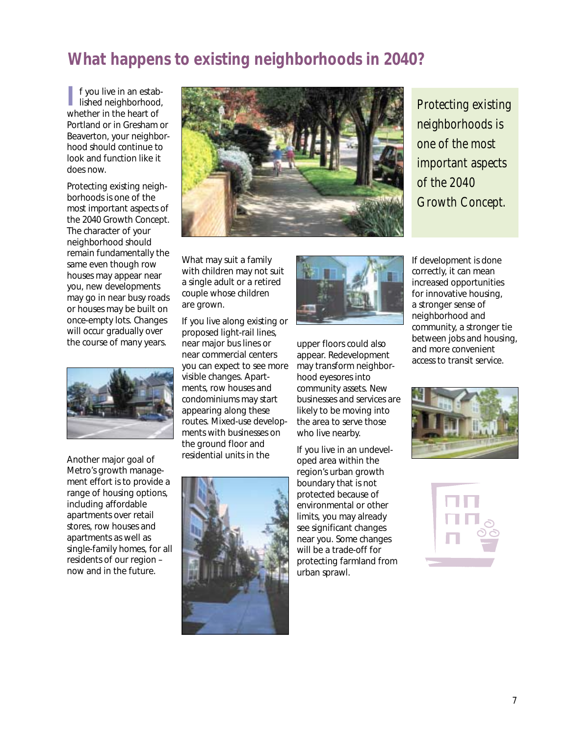# **What happens to existing neighborhoods in 2040?**

**I** f you live in an estab-<br>lished neighborhood, whether in the heart of Portland or in Gresham or Beaverton, your neighborhood should continue to look and function like it does now.

Protecting existing neighborhoods is one of the most important aspects of the 2040 Growth Concept. The character of your neighborhood should remain fundamentally the same even though row houses may appear near you, new developments may go in near busy roads or houses may be built on once-empty lots. Changes will occur gradually over the course of many years.



Another major goal of Metro's growth management effort is to provide a range of housing options, including affordable apartments over retail stores, row houses and apartments as well as single-family homes, for all residents of our region – now and in the future.



What may suit a family with children may not suit a single adult or a retired couple whose children are grown.

If you live along existing or proposed light-rail lines, near major bus lines or near commercial centers you can expect to see more visible changes. Apartments, row houses and condominiums may start appearing along these routes. Mixed-use developments with businesses on the ground floor and residential units in the





upper floors could also appear. Redevelopment may transform neighborhood eyesores into community assets. New businesses and services are likely to be moving into the area to serve those who live nearby.

If you live in an undeveloped area within the region's urban growth boundary that is not protected because of environmental or other limits, you may already see significant changes near you. Some changes will be a trade-off for protecting farmland from urban sprawl.

*Protecting existing neighborhoods is one of the most important aspects of the 2040 Growth Concept.*

If development is done correctly, it can mean increased opportunities for innovative housing, a stronger sense of neighborhood and community, a stronger tie between jobs and housing, and more convenient access to transit service.



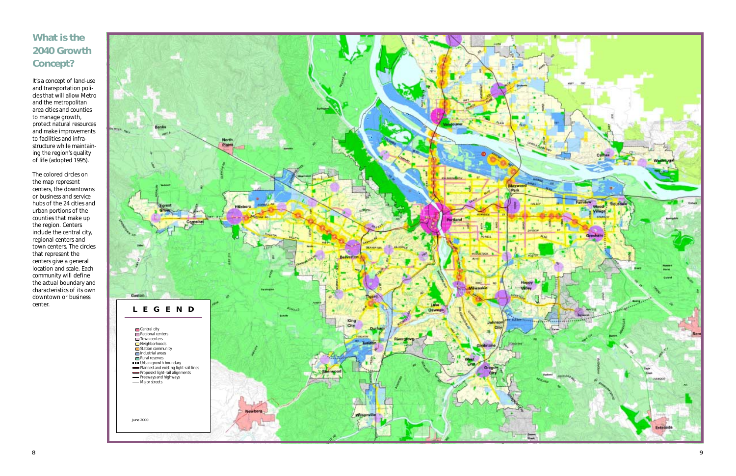# **What is the 2040 Growth Concept?**

It's a concept of land-use and transportation policies that will allow Metro and the metropolitan area cities and counties to manage growth, protect natural resources and make improvements to facilities and infrastructure while maintaining the region's quality of life (adopted 1995).

The colored circles on the map represent centers, the downtowns or business and service hubs of the 24 cities and urban portions of the counties that make up the region. Centers include the central city, regional centers and town centers. The circles that represent the centers give a general location and scale. Each community will define the actual boundary and characteristics of its own downtown or business center.

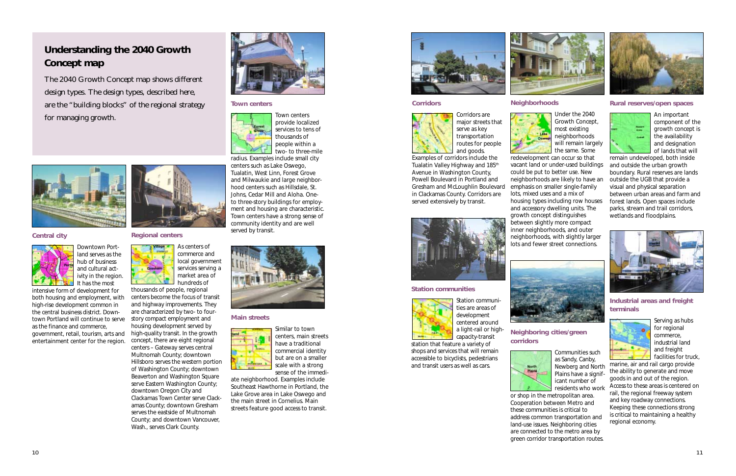

**Industrial areas and freight terminals**



Serving as hubs for regional commerce, industrial land and freight facilities for truck,

marine, air and rail cargo provide the ability to generate and move goods in and out of the region. Access to these areas is centered on rail, the regional freeway system and key roadway connections. Keeping these connections strong is critical to maintaining a healthy regional economy.

**corridors Plains** 

#### **Rural reserves/open spaces**



An important component of the growth concept is the availability and designation of lands that will

remain undeveloped, both inside and outside the urban growth boundary. Rural reserves are lands outside the UGB that provide a visual and physical separation between urban areas and farm and forest lands. Open spaces include parks, stream and trail corridors, wetlands and floodplains.

## **Neighboring cities/green**



Communities such as Sandy, Canby, Newberg and North Plains have a significant number of residents who work



or shop in the metropolitan area. Cooperation between Metro and these communities is critical to address common transportation and land-use issues. Neighboring cities are connected to the metro area by green corridor transportation routes.





#### **Neighborhoods**



Under the 2040 Growth Concept, most existing neighborhoods will remain largely the same. Some

redevelopment can occur so that vacant land or under-used buildings could be put to better use. New neighborhoods are likely to have an emphasis on smaller single-family lots, mixed uses and a mix of housing types including row houses and accessory dwelling units. The growth concept distinguishes between slightly more compact inner neighborhoods, and outer neighborhoods, with slightly larger lots and fewer street connections.



#### **Station communities**



# Station communi-





ties are areas of development centered around a light-rail or highcapacity-transit

station that feature a variety of shops and services that will remain accessible to bicyclists, pedestrians and transit users as well as cars.

#### **Corridors**



Corridors are major streets that serve as key transportation routes for people

and goods. Examples of corridors include the Tualatin Valley Highway and 185<sup>th</sup> Avenue in Washington County, Powell Boulevard in Portland and Gresham and McLoughlin Boulevard in Clackamas County. Corridors are served extensively by transit.



*The 2040 Growth Concept map shows different design types. The design types, described here, are the "building blocks" of the regional strategy for managing growth.*



# **Understanding the 2040 Growth Concept map**

#### **Central city**



Downtown Portland serves as the hub of business and cultural activity in the region. It has the most

intensive form of development for both housing and employment, with high-rise development common in the central business district. Downtown Portland will continue to serve as the finance and commerce, government, retail, tourism, arts and entertainment center for the region.



**Main streets**

Similar to town centers, main streets have a traditional commercial identity but are on a smaller scale with a strong sense of the immedi-

ate neighborhood. Examples include Southeast Hawthorne in Portland, the Lake Grove area in Lake Oswego and the main street in Cornelius. Main streets feature good access to transit.



#### **Regional centers**



thousands of people, regional centers become the focus of transit and highway improvements. They are characterized by two- to fourstory compact employment and housing development served by high-quality transit. In the growth concept, there are eight regional centers – Gateway serves central Multnomah County; downtown Hillsboro serves the western portion

of Washington County; downtown Beaverton and Washington Square serve Eastern Washington County; downtown Oregon City and Clackamas Town Center serve Clackamas County; downtown Gresham serves the eastside of Multnomah County; and downtown Vancouver, Wash., serves Clark County.



#### **Town centers**



Town centers provide localized services to tens of thousands of people within a two- to three-mile radius. Examples include small city



centers such as Lake Oswego, Tualatin, West Linn, Forest Grove and Milwaukie and large neighborhood centers such as Hillsdale, St. Johns, Cedar Mill and Aloha. Oneto three-story buildings for employment and housing are characteristic. Town centers have a strong sense of community identity and are well

served by transit.

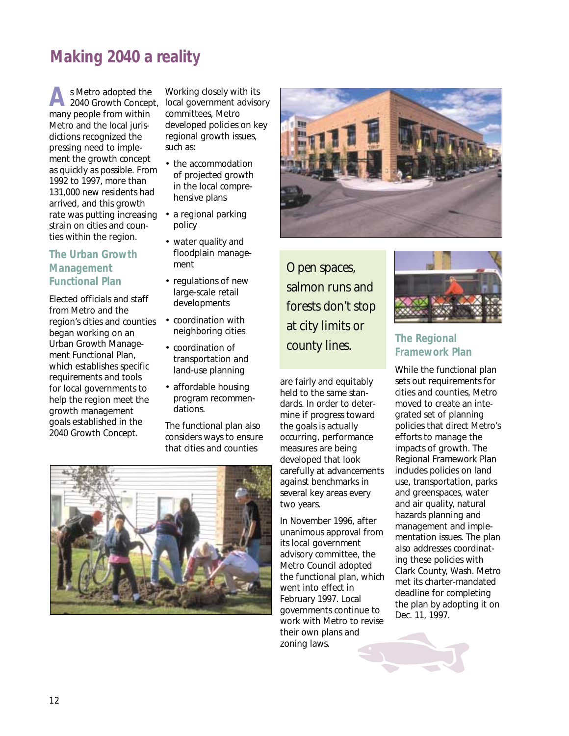# **Making 2040 a reality**

**A** s Metro adopted the 2040 Growth Concept, many people from within Metro and the local jurisdictions recognized the pressing need to implement the growth concept as quickly as possible. From 1992 to 1997, more than 131,000 new residents had arrived, and this growth rate was putting increasing • a regional parking strain on cities and counties within the region.

## **The Urban Growth Management Functional Plan**

Elected officials and staff from Metro and the region's cities and counties began working on an Urban Growth Management Functional Plan, which establishes specific requirements and tools for local governments to help the region meet the growth management goals established in the 2040 Growth Concept.

Working closely with its local government advisory committees, Metro developed policies on key regional growth issues, such as:

- the accommodation of projected growth in the local comprehensive plans
- policy
- water quality and floodplain management
- regulations of new large-scale retail developments
- coordination with neighboring cities
- coordination of transportation and land-use planning
- affordable housing program recommendations.

The functional plan also considers ways to ensure that cities and counties



*Open spaces, salmon runs and forests don't stop at city limits or county lines.*

are fairly and equitably held to the same standards. In order to determine if progress toward the goals is actually occurring, performance measures are being developed that look carefully at advancements against benchmarks in several key areas every two years.

In November 1996, after unanimous approval from its local government advisory committee, the Metro Council adopted the functional plan, which went into effect in February 1997. Local governments continue to work with Metro to revise their own plans and zoning laws.



## **The Regional Framework Plan**

While the functional plan sets out requirements for cities and counties, Metro moved to create an integrated set of planning policies that direct Metro's efforts to manage the impacts of growth. The Regional Framework Plan includes policies on land use, transportation, parks and greenspaces, water and air quality, natural hazards planning and management and implementation issues. The plan also addresses coordinating these policies with Clark County, Wash. Metro met its charter-mandated deadline for completing the plan by adopting it on Dec. 11, 1997.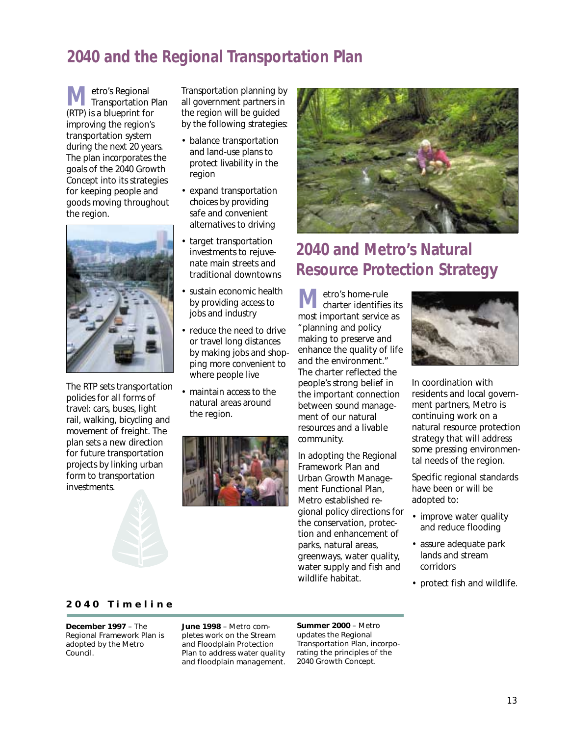# **2040 and the Regional Transportation Plan**

**M**etro's Regional<br>
Transportation Plan (RTP) is a blueprint for improving the region's transportation system during the next 20 years. The plan incorporates the goals of the 2040 Growth Concept into its strategies for keeping people and goods moving throughout the region.



The RTP sets transportation policies for all forms of travel: cars, buses, light rail, walking, bicycling and movement of freight. The plan sets a new direction for future transportation projects by linking urban form to transportation investments.

Transportation planning by all government partners in the region will be guided by the following strategies:

- balance transportation and land-use plans to protect livability in the region
- expand transportation choices by providing safe and convenient alternatives to driving
- target transportation investments to rejuvenate main streets and traditional downtowns
- sustain economic health by providing access to jobs and industry
- reduce the need to drive or travel long distances by making jobs and shopping more convenient to where people live
- maintain access to the natural areas around the region.





# **2040 and Metro's Natural Resource Protection Strategy**

**M** etro's home-rule<br>charter identifies its most important service as "planning and policy making to preserve and enhance the quality of life and the environment." The charter reflected the people's strong belief in the important connection between sound management of our natural resources and a livable community.

In adopting the Regional Framework Plan and Urban Growth Management Functional Plan, Metro established regional policy directions for the conservation, protection and enhancement of parks, natural areas, greenways, water quality, water supply and fish and



In coordination with residents and local government partners, Metro is continuing work on a natural resource protection strategy that will address some pressing environmental needs of the region.

Specific regional standards have been or will be adopted to:

- improve water quality and reduce flooding
- assure adequate park lands and stream corridors
- protect fish and wildlife.

#### **2040 Timeline**

**December 1997** – The Regional Framework Plan is adopted by the Metro Council.

**June 1998** – Metro completes work on the Stream and Floodplain Protection Plan to address water quality and floodplain management.

**Summer 2000** – Metro updates the Regional Transportation Plan, incorporating the principles of the 2040 Growth Concept.

wildlife habitat.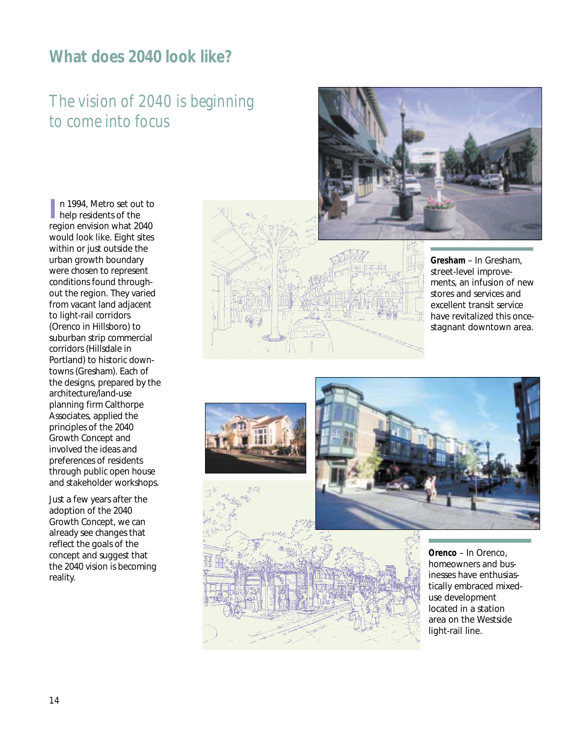## **What does 2040 look like?**

# *The vision of 2040 is beginning to come into focus*

**I** n 1994, Metro set out to help residents of the region envision what 2040 would look like. Eight sites within or just outside the urban growth boundary were chosen to represent conditions found throughout the region. They varied from vacant land adjacent to light-rail corridors (Orenco in Hillsboro) to suburban strip commercial corridors (Hillsdale in Portland) to historic downtowns (Gresham). Each of the designs, prepared by the architecture/land-use planning firm Calthorpe Associates, applied the principles of the 2040 Growth Concept and involved the ideas and preferences of residents through public open house and stakeholder workshops.

Just a few years after the adoption of the 2040 Growth Concept, we can already see changes that reflect the goals of the concept and suggest that the 2040 vision is becoming reality.





**Gresham** – In Gresham, street-level improvements, an infusion of new stores and services and excellent transit service have revitalized this oncestagnant downtown area.





**Orenco** – In Orenco, homeowners and businesses have enthusiastically embraced mixeduse development located in a station area on the Westside light-rail line.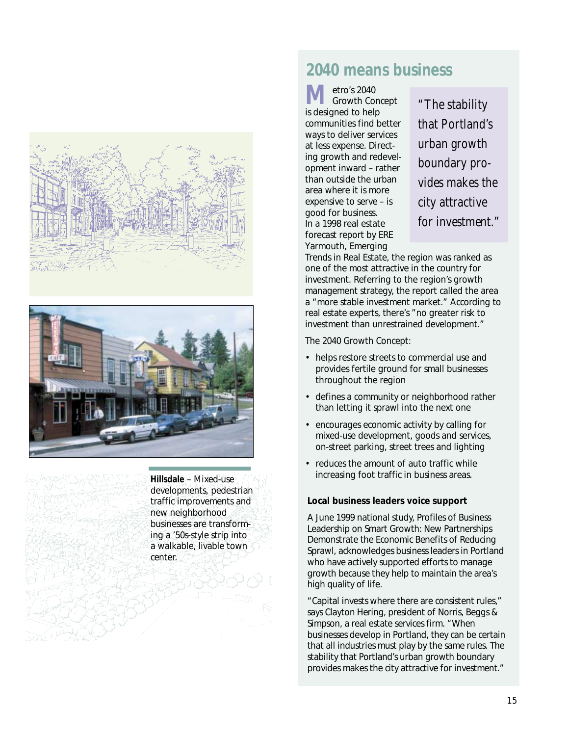



**Hillsdale** – Mixed-use developments, pedestrian traffic improvements and new neighborhood businesses are transforming a '50s-style strip into a walkable, livable town center.

## **2040 means business**

**M** etro's 2040 Growth Concept is designed to help communities find better ways to deliver services at less expense. Directing growth and redevelopment inward – rather than outside the urban area where it is more expensive to serve – is good for business. In a 1998 real estate forecast report by ERE Yarmouth, *Emerging*

*"The stability that Portland's urban growth boundary provides makes the city attractive for investment."*

*Trends in Real Estate*, the region was ranked as one of the most attractive in the country for investment. Referring to the region's growth management strategy, the report called the area a "more stable investment market." According to real estate experts, there's "no greater risk to investment than unrestrained development."

The 2040 Growth Concept:

- helps restore streets to commercial use and provides fertile ground for small businesses throughout the region
- defines a community or neighborhood rather than letting it sprawl into the next one
- encourages economic activity by calling for mixed-use development, goods and services, on-street parking, street trees and lighting
- reduces the amount of auto traffic while increasing foot traffic in business areas.

#### **Local business leaders voice support**

A June 1999 national study, *Profiles of Business Leadership on Smart Growth: New Partnerships Demonstrate the Economic Benefits of Reducing Sprawl*, acknowledges business leaders in Portland who have actively supported efforts to manage growth because they help to maintain the area's high quality of life.

"Capital invests where there are consistent rules," says Clayton Hering, president of Norris, Beggs & Simpson, a real estate services firm. "When businesses develop in Portland, they can be certain that all industries must play by the same rules. The stability that Portland's urban growth boundary provides makes the city attractive for investment."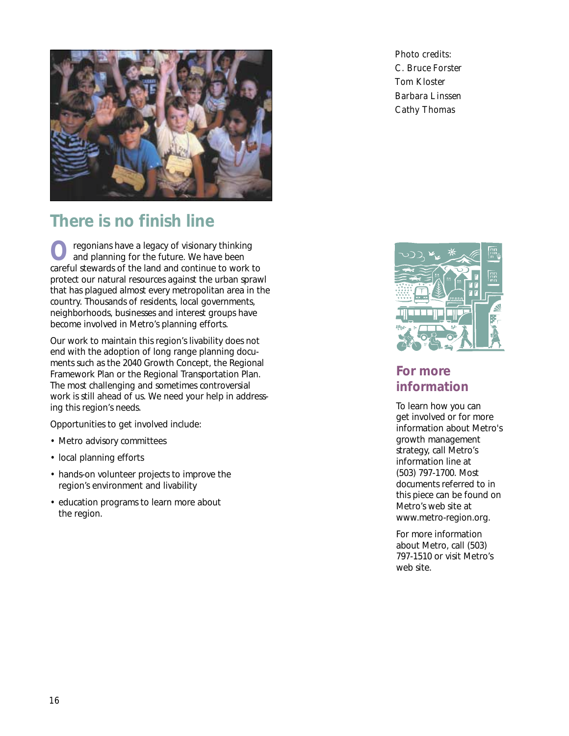

# **There is no finish line**

regonians have a legacy of visionary thinking and planning for the future. We have been careful stewards of the land and continue to work to protect our natural resources against the urban sprawl that has plagued almost every metropolitan area in the country. Thousands of residents, local governments, neighborhoods, businesses and interest groups have become involved in Metro's planning efforts.

Our work to maintain this region's livability does not end with the adoption of long range planning documents such as the 2040 Growth Concept, the Regional Framework Plan or the Regional Transportation Plan. The most challenging and sometimes controversial work is still ahead of us. We need your help in addressing this region's needs.

Opportunities to get involved include:

- Metro advisory committees
- local planning efforts
- hands-on volunteer projects to improve the region's environment and livability
- education programs to learn more about the region.

*Photo credits: C. Bruce Forster Tom Kloster Barbara Linssen Cathy Thomas*



## **For more information**

To learn how you can get involved or for more information about Metro's growth management strategy, call Metro's information line at (503) 797-1700. Most documents referred to in this piece can be found on Metro's web site at www.metro-region.org.

For more information about Metro, call (503) 797-1510 or visit Metro's web site.